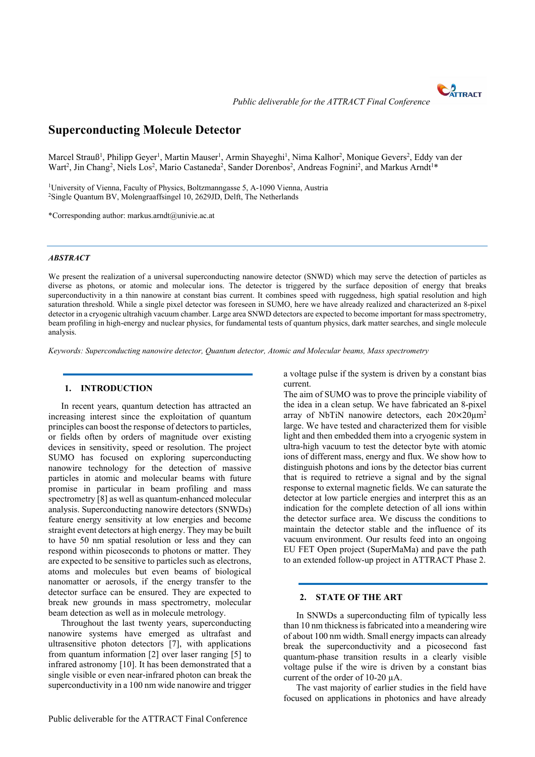

 *Public deliverable for the ATTRACT Final Conference*

# **Superconducting Molecule Detector**

Marcel Strauß<sup>1</sup>, Philipp Geyer<sup>1</sup>, Martin Mauser<sup>1</sup>, Armin Shayeghi<sup>1</sup>, Nima Kalhor<sup>2</sup>, Monique Gevers<sup>2</sup>, Eddy van der Wart<sup>2</sup>, Jin Chang<sup>2</sup>, Niels Los<sup>2</sup>, Mario Castaneda<sup>2</sup>, Sander Dorenbos<sup>2</sup>, Andreas Fognini<sup>2</sup>, and Markus Arndt<sup>1\*</sup>

<sup>1</sup>University of Vienna, Faculty of Physics, Boltzmanngasse 5, A-1090 Vienna, Austria <sup>2</sup>Single Quantum BV, Molengraaffsingel 10, 2629JD, Delft, The Netherlands

\*Corresponding author: markus.arndt@univie.ac.at

## *ABSTRACT*

We present the realization of a universal superconducting nanowire detector (SNWD) which may serve the detection of particles as diverse as photons, or atomic and molecular ions. The detector is triggered by the surface deposition of energy that breaks superconductivity in a thin nanowire at constant bias current. It combines speed with ruggedness, high spatial resolution and high saturation threshold. While a single pixel detector was foreseen in SUMO, here we have already realized and characterized an 8-pixel detector in a cryogenic ultrahigh vacuum chamber. Large area SNWD detectors are expected to become important for mass spectrometry, beam profiling in high-energy and nuclear physics, for fundamental tests of quantum physics, dark matter searches, and single molecule analysis.

*Keywords: Superconducting nanowire detector, Quantum detector, Atomic and Molecular beams, Mass spectrometry*

## **1. INTRODUCTION**

In recent years, quantum detection has attracted an increasing interest since the exploitation of quantum principles can boost the response of detectors to particles, or fields often by orders of magnitude over existing devices in sensitivity, speed or resolution. The project SUMO has focused on exploring superconducting nanowire technology for the detection of massive particles in atomic and molecular beams with future promise in particular in beam profiling and mass spectrometry [8] as well as quantum-enhanced molecular analysis. Superconducting nanowire detectors (SNWDs) feature energy sensitivity at low energies and become straight event detectors at high energy. They may be built to have 50 nm spatial resolution or less and they can respond within picoseconds to photons or matter. They are expected to be sensitive to particles such as electrons, atoms and molecules but even beams of biological nanomatter or aerosols, if the energy transfer to the detector surface can be ensured. They are expected to break new grounds in mass spectrometry, molecular beam detection as well as in molecule metrology.

Throughout the last twenty years, superconducting nanowire systems have emerged as ultrafast and ultrasensitive photon detectors [7], with applications from quantum information [2] over laser ranging [5] to infrared astronomy [10]. It has been demonstrated that a single visible or even near-infrared photon can break the superconductivity in a 100 nm wide nanowire and trigger

Public deliverable for the ATTRACT Final Conference

a voltage pulse if the system is driven by a constant bias current.

The aim of SUMO was to prove the principle viability of the idea in a clean setup. We have fabricated an 8-pixel array of NbTiN nanowire detectors, each  $20 \times 20 \mu m^2$ large. We have tested and characterized them for visible light and then embedded them into a cryogenic system in ultra-high vacuum to test the detector byte with atomic ions of different mass, energy and flux. We show how to distinguish photons and ions by the detector bias current that is required to retrieve a signal and by the signal response to external magnetic fields. We can saturate the detector at low particle energies and interpret this as an indication for the complete detection of all ions within the detector surface area. We discuss the conditions to maintain the detector stable and the influence of its vacuum environment. Our results feed into an ongoing EU FET Open project (SuperMaMa) and pave the path to an extended follow-up project in ATTRACT Phase 2.

#### **2. STATE OF THE ART**

In SNWDs a superconducting film of typically less than 10 nm thickness is fabricated into a meandering wire of about 100 nm width. Small energy impacts can already break the superconductivity and a picosecond fast quantum-phase transition results in a clearly visible voltage pulse if the wire is driven by a constant bias current of the order of 10-20 µA.

The vast majority of earlier studies in the field have focused on applications in photonics and have already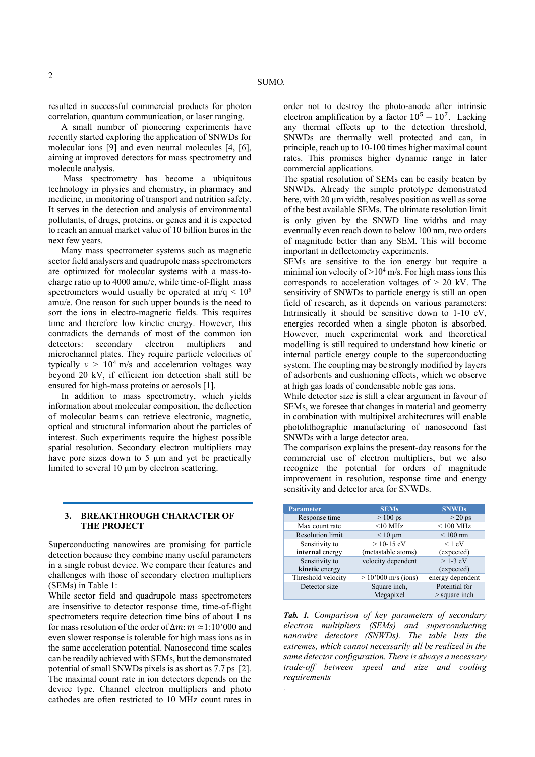resulted in successful commercial products for photon correlation, quantum communication, or laser ranging.

A small number of pioneering experiments have recently started exploring the application of SNWDs for molecular ions [9] and even neutral molecules [4, [6], aiming at improved detectors for mass spectrometry and molecule analysis.

 Mass spectrometry has become a ubiquitous technology in physics and chemistry, in pharmacy and medicine, in monitoring of transport and nutrition safety. It serves in the detection and analysis of environmental pollutants, of drugs, proteins, or genes and it is expected to reach an annual market value of 10 billion Euros in the next few years.

Many mass spectrometer systems such as magnetic sector field analysers and quadrupole mass spectrometers are optimized for molecular systems with a mass-tocharge ratio up to 4000 amu/e, while time-of-flight mass spectrometers would usually be operated at  $m/q \leq 10^5$ amu/e. One reason for such upper bounds is the need to sort the ions in electro-magnetic fields. This requires time and therefore low kinetic energy. However, this contradicts the demands of most of the common ion detectors: secondary electron multipliers and microchannel plates. They require particle velocities of typically  $v > 10<sup>4</sup>$  m/s and acceleration voltages way beyond 20 kV, if efficient ion detection shall still be ensured for high-mass proteins or aerosols [1].

In addition to mass spectrometry, which yields information about molecular composition, the deflection of molecular beams can retrieve electronic, magnetic, optical and structural information about the particles of interest. Such experiments require the highest possible spatial resolution. Secondary electron multipliers may have pore sizes down to  $5 \mu m$  and yet be practically limited to several 10 um by electron scattering.

## **3. BREAKTHROUGH CHARACTER OF THE PROJECT**

Superconducting nanowires are promising for particle detection because they combine many useful parameters in a single robust device. We compare their features and challenges with those of secondary electron multipliers (SEMs) in Table 1:

While sector field and quadrupole mass spectrometers are insensitive to detector response time, time-of-flight spectrometers require detection time bins of about 1 ns for mass resolution of the order of  $\Delta m$ :  $m \approx 1:10'000$  and even slower response is tolerable for high mass ions as in the same acceleration potential. Nanosecond time scales can be readily achieved with SEMs, but the demonstrated potential of small SNWDs pixels is as short as 7.7 ps [2]. The maximal count rate in ion detectors depends on the device type. Channel electron multipliers and photo cathodes are often restricted to 10 MHz count rates in

order not to destroy the photo-anode after intrinsic electron amplification by a factor  $10^5 - 10^7$ . Lacking any thermal effects up to the detection threshold, SNWDs are thermally well protected and can, in principle, reach up to 10-100 times higher maximal count rates. This promises higher dynamic range in later commercial applications.

The spatial resolution of SEMs can be easily beaten by SNWDs. Already the simple prototype demonstrated here, with 20 um width, resolves position as well as some of the best available SEMs. The ultimate resolution limit is only given by the SNWD line widths and may eventually even reach down to below 100 nm, two orders of magnitude better than any SEM. This will become important in deflectometry experiments.

SEMs are sensitive to the ion energy but require a minimal ion velocity of  $>10^4$  m/s. For high mass ions this corresponds to acceleration voltages of  $> 20$  kV. The sensitivity of SNWDs to particle energy is still an open field of research, as it depends on various parameters: Intrinsically it should be sensitive down to 1-10 eV, energies recorded when a single photon is absorbed. However, much experimental work and theoretical modelling is still required to understand how kinetic or internal particle energy couple to the superconducting system. The coupling may be strongly modified by layers of adsorbents and cushioning effects, which we observe at high gas loads of condensable noble gas ions.

While detector size is still a clear argument in favour of SEMs, we foresee that changes in material and geometry in combination with multipixel architectures will enable photolithographic manufacturing of nanosecond fast SNWDs with a large detector area.

The comparison explains the present-day reasons for the commercial use of electron multipliers, but we also recognize the potential for orders of magnitude improvement in resolution, response time and energy sensitivity and detector area for SNWDs.

| <b>Parameter</b>        | <b>SEMs</b>                   | <b>SNWDs</b>                     |
|-------------------------|-------------------------------|----------------------------------|
| Response time           | $>100$ ps                     | $>$ 20 ps                        |
| Max count rate          | $<$ 10 MHz                    | $< 100$ MHz                      |
| <b>Resolution limit</b> | $\leq 10 \text{ }\mu\text{m}$ | $\leq 100$ nm                    |
| Sensitivity to          | $> 10 - 15$ eV                | $< 1$ eV                         |
| internal energy         | (metastable atoms)            | (expected)                       |
| Sensitivity to          | velocity dependent            | $>1-3$ eV                        |
| kinetic energy          |                               | (expected)                       |
| Threshold velocity      | $> 10'000$ m/s (ions)         | energy dependent                 |
| Detector size           | Square inch,<br>Megapixel     | Potential for<br>$>$ square inch |
|                         |                               |                                  |

*Tab. 1. Comparison of key parameters of secondary electron multipliers (SEMs) and superconducting nanowire detectors (SNWDs). The table lists the extremes, which cannot necessarily all be realized in the same detector configuration. There is always a necessary trade-off between speed and size and cooling requirements* 

*.*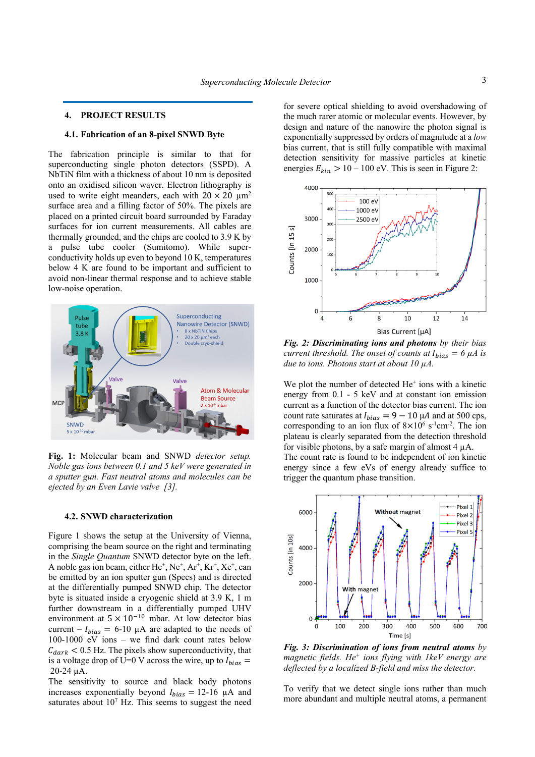## **4. PROJECT RESULTS**

#### **4.1. Fabrication of an 8-pixel SNWD Byte**

The fabrication principle is similar to that for superconducting single photon detectors (SSPD). A NbTiN film with a thickness of about 10 nm is deposited onto an oxidised silicon waver. Electron lithography is used to write eight meanders, each with  $20 \times 20 \mu m^2$ surface area and a filling factor of 50%. The pixels are placed on a printed circuit board surrounded by Faraday surfaces for ion current measurements. All cables are thermally grounded, and the chips are cooled to 3.9 K by a pulse tube cooler (Sumitomo). While superconductivity holds up even to beyond 10 K, temperatures below 4 K are found to be important and sufficient to avoid non-linear thermal response and to achieve stable low-noise operation.



**Fig. 1:** Molecular beam and SNWD *detector setup. Noble gas ions between 0.1 and 5 keV were generated in a sputter gun. Fast neutral atoms and molecules can be ejected by an Even Lavie valve [3].* 

#### **4.2. SNWD characterization**

Figure 1 shows the setup at the University of Vienna, comprising the beam source on the right and terminating in the *Single Quantum* SNWD detector byte on the left. A noble gas ion beam, either  $He^+$ ,  $Ne^+$ ,  $Ar^+$ ,  $Kr^+$ ,  $Xe^+$ , can be emitted by an ion sputter gun (Specs) and is directed at the differentially pumped SNWD chip. The detector byte is situated inside a cryogenic shield at 3.9 K, 1 m further downstream in a differentially pumped UHV environment at  $5 \times 10^{-10}$  mbar. At low detector bias current –  $I_{bias}$  = 6-10 µA are adapted to the needs of 100-1000 eV ions – we find dark count rates below  $C_{dark}$  < 0.5 Hz. The pixels show superconductivity, that is a voltage drop of U=0 V across the wire, up to  $I_{bias}$  = 20-24 µA.

The sensitivity to source and black body photons increases exponentially beyond  $I_{bias} = 12{\text -}16 \mu A$  and saturates about  $10<sup>7</sup>$  Hz. This seems to suggest the need for severe optical shielding to avoid overshadowing of the much rarer atomic or molecular events. However, by design and nature of the nanowire the photon signal is exponentially suppressed by orders of magnitude at a *low* bias current, that is still fully compatible with maximal detection sensitivity for massive particles at kinetic energies  $E_{kin} > 10 - 100$  eV. This is seen in Figure 2:



*Fig. 2: Discriminating ions and photons by their bias current threshold. The onset of counts at*  $I_{bias} = 6 \mu A$  *is due to ions. Photons start at about 10 µA.* 

We plot the number of detected  $He<sup>+</sup>$  ions with a kinetic energy from 0.1 - 5 keV and at constant ion emission current as a function of the detector bias current. The ion count rate saturates at  $I_{bias} = 9 - 10 \mu A$  and at 500 cps, corresponding to an ion flux of  $8 \times 10^6$  s<sup>-1</sup>cm<sup>-2</sup>. The ion plateau is clearly separated from the detection threshold for visible photons, by a safe margin of almost  $4 \mu A$ .

The count rate is found to be independent of ion kinetic energy since a few eVs of energy already suffice to trigger the quantum phase transition.



*Fig. 3: Discrimination of ions from neutral atoms by magnetic fields. He+ ions flying with 1keV energy are deflected by a localized B-field and miss the detector.* 

To verify that we detect single ions rather than much more abundant and multiple neutral atoms, a permanent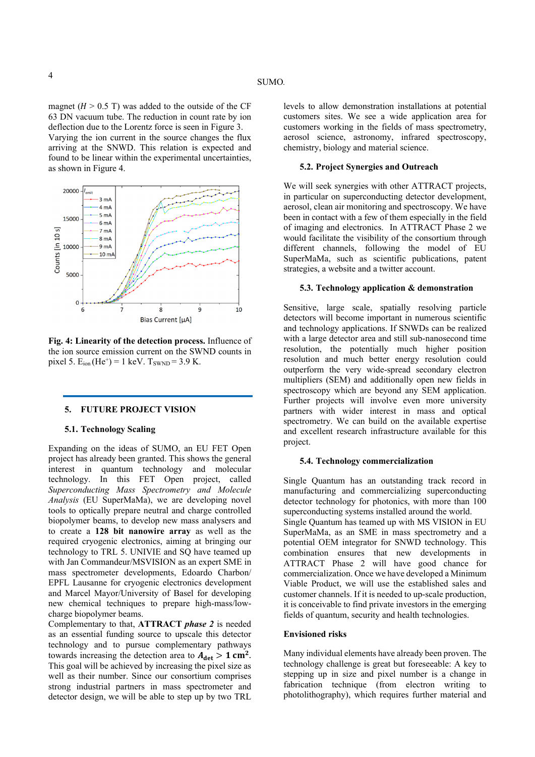magnet ( $H > 0.5$  T) was added to the outside of the CF 63 DN vacuum tube. The reduction in count rate by ion deflection due to the Lorentz force is seen in Figure 3. Varying the ion current in the source changes the flux arriving at the SNWD. This relation is expected and found to be linear within the experimental uncertainties, as shown in Figure 4.



**Fig. 4: Linearity of the detection process.** Influence of the ion source emission current on the SWND counts in pixel 5.  $E_{ion}$  (He<sup>+</sup>) = 1 keV.  $T_{SWND}$  = 3.9 K.

#### **5. FUTURE PROJECT VISION**

#### **5.1. Technology Scaling**

Expanding on the ideas of SUMO, an EU FET Open project has already been granted. This shows the general interest in quantum technology and molecular technology. In this FET Open project, called *Superconducting Mass Spectrometry and Molecule Analysis* (EU SuperMaMa), we are developing novel tools to optically prepare neutral and charge controlled biopolymer beams, to develop new mass analysers and to create a **128 bit nanowire array** as well as the required cryogenic electronics, aiming at bringing our technology to TRL 5. UNIVIE and SQ have teamed up with Jan Commandeur/MSVISION as an expert SME in mass spectrometer developments, Edoardo Charbon/ EPFL Lausanne for cryogenic electronics development and Marcel Mayor/University of Basel for developing new chemical techniques to prepare high-mass/lowcharge biopolymer beams.

Complementary to that, **ATTRACT** *phase 2* is needed as an essential funding source to upscale this detector technology and to pursue complementary pathways towards increasing the detection area to  $A_{\text{det}} > 1$  cm<sup>2</sup>. This goal will be achieved by increasing the pixel size as well as their number. Since our consortium comprises strong industrial partners in mass spectrometer and detector design, we will be able to step up by two TRL

#### **5.2. Project Synergies and Outreach**

We will seek synergies with other ATTRACT projects, in particular on superconducting detector development, aerosol, clean air monitoring and spectroscopy. We have been in contact with a few of them especially in the field of imaging and electronics. In ATTRACT Phase 2 we would facilitate the visibility of the consortium through different channels, following the model of EU SuperMaMa, such as scientific publications, patent strategies, a website and a twitter account.

#### **5.3. Technology application & demonstration**

Sensitive, large scale, spatially resolving particle detectors will become important in numerous scientific and technology applications. If SNWDs can be realized with a large detector area and still sub-nanosecond time resolution, the potentially much higher position resolution and much better energy resolution could outperform the very wide-spread secondary electron multipliers (SEM) and additionally open new fields in spectroscopy which are beyond any SEM application. Further projects will involve even more university partners with wider interest in mass and optical spectrometry. We can build on the available expertise and excellent research infrastructure available for this project.

#### **5.4. Technology commercialization**

Single Quantum has an outstanding track record in manufacturing and commercializing superconducting detector technology for photonics, with more than 100 superconducting systems installed around the world. Single Quantum has teamed up with MS VISION in EU SuperMaMa, as an SME in mass spectrometry and a potential OEM integrator for SNWD technology. This combination ensures that new developments in ATTRACT Phase 2 will have good chance for commercialization. Once we have developed a Minimum Viable Product, we will use the established sales and customer channels. If it is needed to up-scale production, it is conceivable to find private investors in the emerging fields of quantum, security and health technologies.

## **Envisioned risks**

Many individual elements have already been proven. The technology challenge is great but foreseeable: A key to stepping up in size and pixel number is a change in fabrication technique (from electron writing to photolithography), which requires further material and